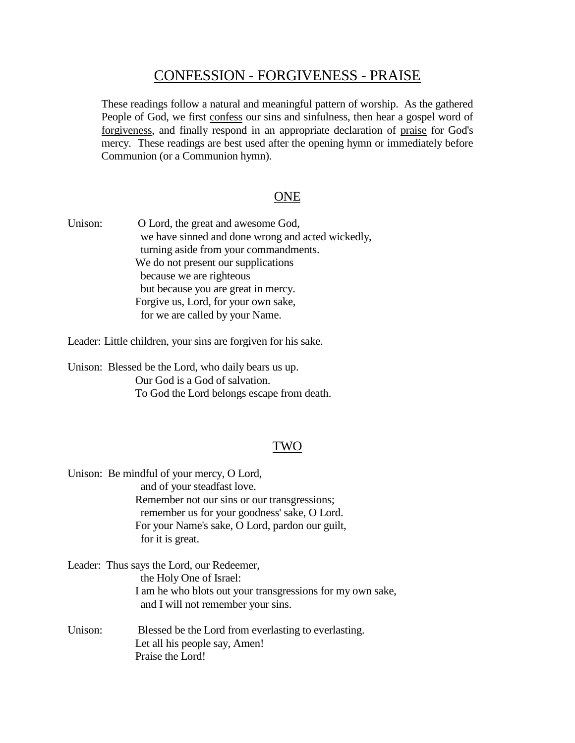# CONFESSION - FORGIVENESS - PRAISE

These readings follow a natural and meaningful pattern of worship. As the gathered People of God, we first confess our sins and sinfulness, then hear a gospel word of forgiveness, and finally respond in an appropriate declaration of praise for God's mercy. These readings are best used after the opening hymn or immediately before Communion (or a Communion hymn).

# **ONE**

Unison: O Lord, the great and awesome God, we have sinned and done wrong and acted wickedly, turning aside from your commandments. We do not present our supplications because we are righteous but because you are great in mercy. Forgive us, Lord, for your own sake, for we are called by your Name.

Leader: Little children, your sins are forgiven for his sake.

Unison: Blessed be the Lord, who daily bears us up. Our God is a God of salvation. To God the Lord belongs escape from death.

#### TWO

|         | Unison: Be mindful of your mercy, O Lord,<br>and of your steadfast love.<br>Remember not our sins or our transgressions;<br>remember us for your goodness' sake, O Lord.<br>For your Name's sake, O Lord, pardon our guilt,<br>for it is great. |
|---------|-------------------------------------------------------------------------------------------------------------------------------------------------------------------------------------------------------------------------------------------------|
|         | Leader: Thus says the Lord, our Redeemer,<br>the Holy One of Israel:<br>I am he who blots out your transgressions for my own sake,<br>and I will not remember your sins.                                                                        |
| Unison: | Blessed be the Lord from everlasting to everlasting.<br>Let all his people say, Amen!<br>Praise the Lord!                                                                                                                                       |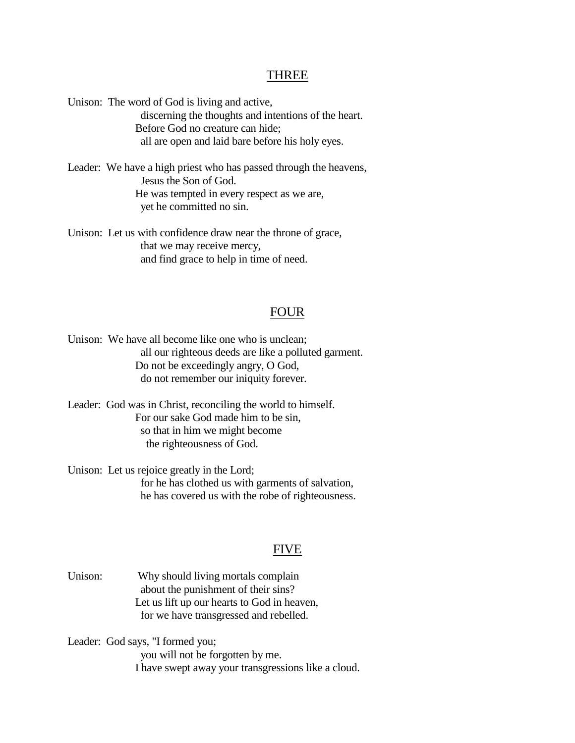#### THREE

Unison: The word of God is living and active,

 discerning the thoughts and intentions of the heart. Before God no creature can hide; all are open and laid bare before his holy eyes.

Leader: We have a high priest who has passed through the heavens, Jesus the Son of God. He was tempted in every respect as we are, yet he committed no sin.

Unison: Let us with confidence draw near the throne of grace, that we may receive mercy, and find grace to help in time of need.

#### FOUR

Unison: We have all become like one who is unclean; all our righteous deeds are like a polluted garment. Do not be exceedingly angry, O God, do not remember our iniquity forever.

Leader: God was in Christ, reconciling the world to himself. For our sake God made him to be sin, so that in him we might become the righteousness of God.

Unison: Let us rejoice greatly in the Lord; for he has clothed us with garments of salvation, he has covered us with the robe of righteousness.

#### FIVE

Unison: Why should living mortals complain about the punishment of their sins? Let us lift up our hearts to God in heaven, for we have transgressed and rebelled.

Leader: God says, "I formed you;

 you will not be forgotten by me. I have swept away your transgressions like a cloud.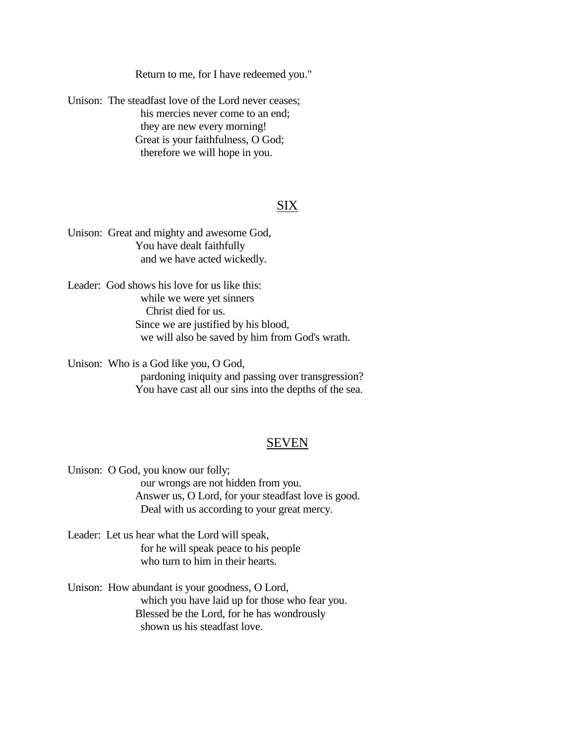Return to me, for I have redeemed you."

Unison: The steadfast love of the Lord never ceases; his mercies never come to an end; they are new every morning! Great is your faithfulness, O God; therefore we will hope in you.

# SIX

Unison: Great and mighty and awesome God, You have dealt faithfully and we have acted wickedly.

Leader: God shows his love for us like this: while we were yet sinners Christ died for us. Since we are justified by his blood, we will also be saved by him from God's wrath.

Unison: Who is a God like you, O God, pardoning iniquity and passing over transgression? You have cast all our sins into the depths of the sea.

#### SEVEN

Unison: O God, you know our folly; our wrongs are not hidden from you. Answer us, O Lord, for your steadfast love is good. Deal with us according to your great mercy.

- Leader: Let us hear what the Lord will speak, for he will speak peace to his people who turn to him in their hearts.
- Unison: How abundant is your goodness, O Lord, which you have laid up for those who fear you. Blessed be the Lord, for he has wondrously shown us his steadfast love.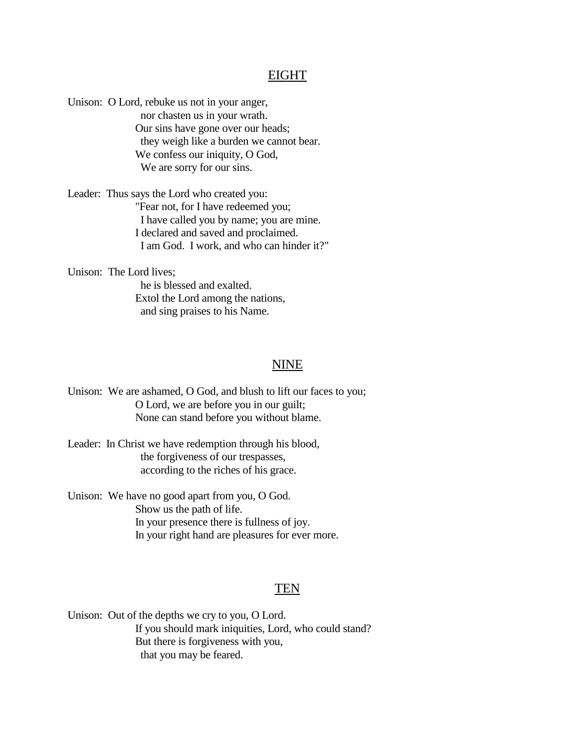### EIGHT

Unison: O Lord, rebuke us not in your anger, nor chasten us in your wrath. Our sins have gone over our heads; they weigh like a burden we cannot bear. We confess our iniquity, O God, We are sorry for our sins.

Leader: Thus says the Lord who created you: "Fear not, for I have redeemed you; I have called you by name; you are mine. I declared and saved and proclaimed. I am God. I work, and who can hinder it?"

Unison: The Lord lives;

 he is blessed and exalted. Extol the Lord among the nations, and sing praises to his Name.

### NINE

Unison: We are ashamed, O God, and blush to lift our faces to you; O Lord, we are before you in our guilt; None can stand before you without blame.

Leader: In Christ we have redemption through his blood, the forgiveness of our trespasses, according to the riches of his grace.

Unison: We have no good apart from you, O God. Show us the path of life. In your presence there is fullness of joy. In your right hand are pleasures for ever more.

## TEN

Unison: Out of the depths we cry to you, O Lord. If you should mark iniquities, Lord, who could stand? But there is forgiveness with you, that you may be feared.